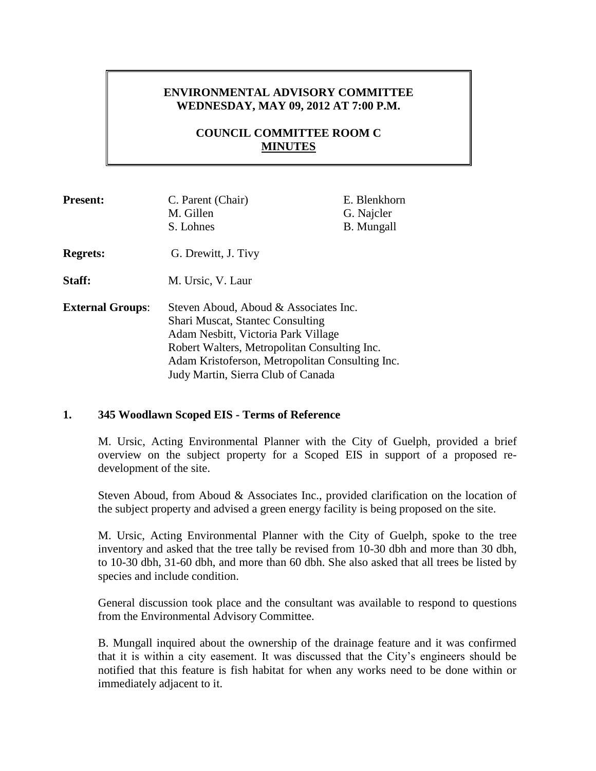# **ENVIRONMENTAL ADVISORY COMMITTEE WEDNESDAY, MAY 09, 2012 AT 7:00 P.M.**

# **COUNCIL COMMITTEE ROOM C MINUTES**

| <b>Present:</b>         | C. Parent (Chair)<br>M. Gillen<br>S. Lohnes                                                                                                                                                                                                                      | E. Blenkhorn<br>G. Najcler<br><b>B.</b> Mungall |
|-------------------------|------------------------------------------------------------------------------------------------------------------------------------------------------------------------------------------------------------------------------------------------------------------|-------------------------------------------------|
| <b>Regrets:</b>         | G. Drewitt, J. Tivy                                                                                                                                                                                                                                              |                                                 |
| Staff:                  | M. Ursic, V. Laur                                                                                                                                                                                                                                                |                                                 |
| <b>External Groups:</b> | Steven Aboud, Aboud & Associates Inc.<br><b>Shari Muscat, Stantec Consulting</b><br>Adam Nesbitt, Victoria Park Village<br>Robert Walters, Metropolitan Consulting Inc.<br>Adam Kristoferson, Metropolitan Consulting Inc.<br>Judy Martin, Sierra Club of Canada |                                                 |

### **1. 345 Woodlawn Scoped EIS - Terms of Reference**

M. Ursic, Acting Environmental Planner with the City of Guelph, provided a brief overview on the subject property for a Scoped EIS in support of a proposed redevelopment of the site.

Steven Aboud, from Aboud & Associates Inc., provided clarification on the location of the subject property and advised a green energy facility is being proposed on the site.

M. Ursic, Acting Environmental Planner with the City of Guelph, spoke to the tree inventory and asked that the tree tally be revised from 10-30 dbh and more than 30 dbh, to 10-30 dbh, 31-60 dbh, and more than 60 dbh. She also asked that all trees be listed by species and include condition.

General discussion took place and the consultant was available to respond to questions from the Environmental Advisory Committee.

B. Mungall inquired about the ownership of the drainage feature and it was confirmed that it is within a city easement. It was discussed that the City's engineers should be notified that this feature is fish habitat for when any works need to be done within or immediately adjacent to it.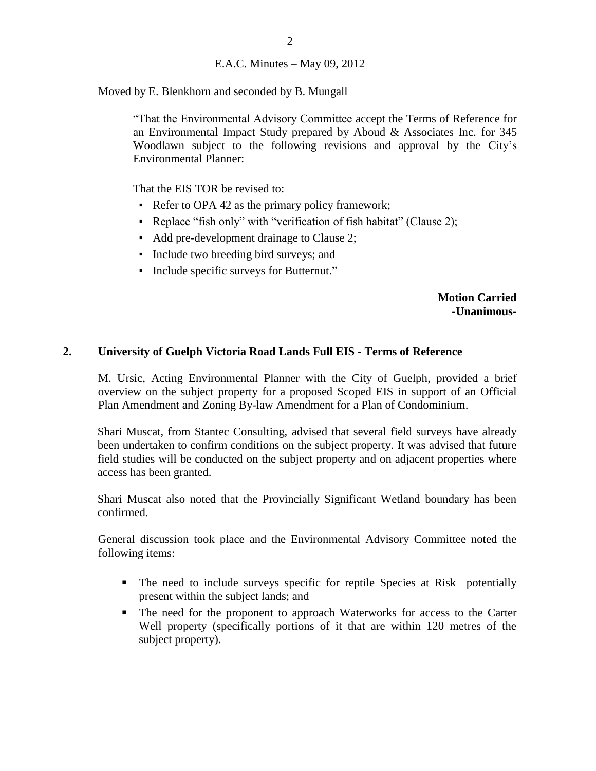Moved by E. Blenkhorn and seconded by B. Mungall

"That the Environmental Advisory Committee accept the Terms of Reference for an Environmental Impact Study prepared by Aboud & Associates Inc. for 345 Woodlawn subject to the following revisions and approval by the City's Environmental Planner:

That the EIS TOR be revised to:

- Refer to OPA 42 as the primary policy framework;
- Replace "fish only" with "verification of fish habitat" (Clause 2);
- Add pre-development drainage to Clause 2;
- Include two breeding bird surveys; and
- Include specific surveys for Butternut."

**Motion Carried -Unanimous-**

## **2. University of Guelph Victoria Road Lands Full EIS - Terms of Reference**

M. Ursic, Acting Environmental Planner with the City of Guelph, provided a brief overview on the subject property for a proposed Scoped EIS in support of an Official Plan Amendment and Zoning By-law Amendment for a Plan of Condominium.

Shari Muscat, from Stantec Consulting, advised that several field surveys have already been undertaken to confirm conditions on the subject property. It was advised that future field studies will be conducted on the subject property and on adjacent properties where access has been granted.

Shari Muscat also noted that the Provincially Significant Wetland boundary has been confirmed.

General discussion took place and the Environmental Advisory Committee noted the following items:

- The need to include surveys specific for reptile Species at Risk potentially present within the subject lands; and
- The need for the proponent to approach Waterworks for access to the Carter Well property (specifically portions of it that are within 120 metres of the subject property).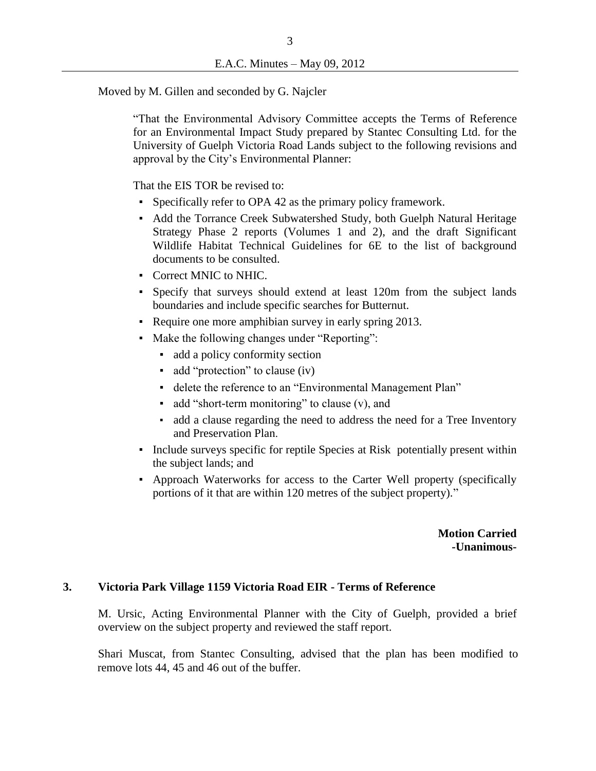Moved by M. Gillen and seconded by G. Najcler

"That the Environmental Advisory Committee accepts the Terms of Reference for an Environmental Impact Study prepared by Stantec Consulting Ltd. for the University of Guelph Victoria Road Lands subject to the following revisions and approval by the City's Environmental Planner:

That the EIS TOR be revised to:

- Specifically refer to OPA 42 as the primary policy framework.
- Add the Torrance Creek Subwatershed Study, both Guelph Natural Heritage Strategy Phase 2 reports (Volumes 1 and 2), and the draft Significant Wildlife Habitat Technical Guidelines for 6E to the list of background documents to be consulted.
- Correct MNIC to NHIC.
- Specify that surveys should extend at least 120m from the subject lands boundaries and include specific searches for Butternut.
- Require one more amphibian survey in early spring 2013.
- Make the following changes under "Reporting":
	- add a policy conformity section
	- add "protection" to clause (iv)
	- delete the reference to an "Environmental Management Plan"
	- add "short-term monitoring" to clause (v), and
	- add a clause regarding the need to address the need for a Tree Inventory and Preservation Plan.
- Include surveys specific for reptile Species at Risk potentially present within the subject lands; and
- Approach Waterworks for access to the Carter Well property (specifically portions of it that are within 120 metres of the subject property)."

**Motion Carried -Unanimous-**

#### **3. Victoria Park Village 1159 Victoria Road EIR - Terms of Reference**

M. Ursic, Acting Environmental Planner with the City of Guelph, provided a brief overview on the subject property and reviewed the staff report.

Shari Muscat, from Stantec Consulting, advised that the plan has been modified to remove lots 44, 45 and 46 out of the buffer.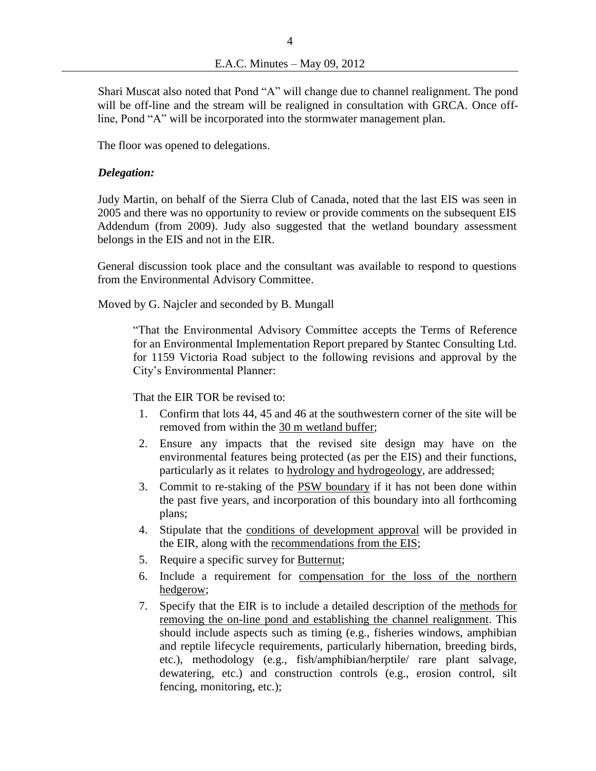Shari Muscat also noted that Pond "A" will change due to channel realignment. The pond will be off-line and the stream will be realigned in consultation with GRCA. Once offline, Pond "A" will be incorporated into the stormwater management plan.

The floor was opened to delegations.

### *Delegation:*

Judy Martin, on behalf of the Sierra Club of Canada, noted that the last EIS was seen in 2005 and there was no opportunity to review or provide comments on the subsequent EIS Addendum (from 2009). Judy also suggested that the wetland boundary assessment belongs in the EIS and not in the EIR.

General discussion took place and the consultant was available to respond to questions from the Environmental Advisory Committee.

Moved by G. Najcler and seconded by B. Mungall

"That the Environmental Advisory Committee accepts the Terms of Reference for an Environmental Implementation Report prepared by Stantec Consulting Ltd. for 1159 Victoria Road subject to the following revisions and approval by the City's Environmental Planner:

That the EIR TOR be revised to:

- 1. Confirm that lots 44, 45 and 46 at the southwestern corner of the site will be removed from within the 30 m wetland buffer;
- 2. Ensure any impacts that the revised site design may have on the environmental features being protected (as per the EIS) and their functions, particularly as it relates to hydrology and hydrogeology, are addressed;
- 3. Commit to re-staking of the PSW boundary if it has not been done within the past five years, and incorporation of this boundary into all forthcoming plans;
- 4. Stipulate that the conditions of development approval will be provided in the EIR, along with the recommendations from the EIS;
- 5. Require a specific survey for **Butternut**;
- 6. Include a requirement for compensation for the loss of the northern hedgerow;
- 7. Specify that the EIR is to include a detailed description of the methods for removing the on-line pond and establishing the channel realignment. This should include aspects such as timing (e.g., fisheries windows, amphibian and reptile lifecycle requirements, particularly hibernation, breeding birds, etc.), methodology (e.g., fish/amphibian/herptile/ rare plant salvage, dewatering, etc.) and construction controls (e.g., erosion control, silt fencing, monitoring, etc.);